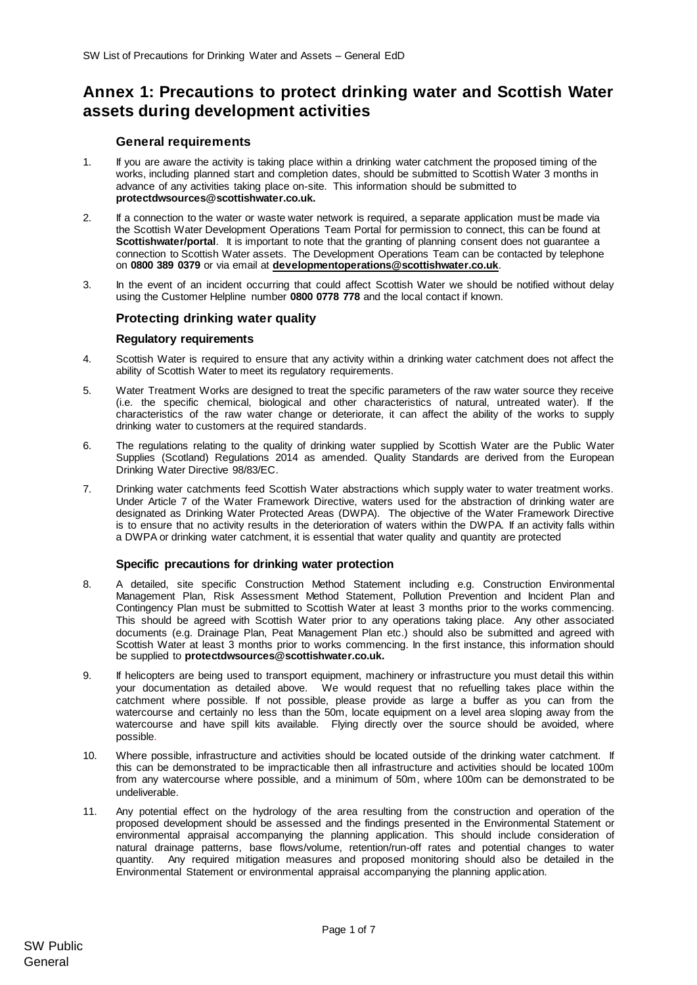# **Annex 1: Precautions to protect drinking water and Scottish Water assets during development activities**

# **General requirements**

- 1. If you are aware the activity is taking place within a drinking water catchment the proposed timing of the works, including planned start and completion dates, should be submitted to Scottish Water 3 months in advance of any activities taking place on-site. This information should be submitted to **protectdwsources@scottishwater.co.uk.**
- 2. If a connection to the water or waste water network is required, a separate application must be made via the Scottish Water Development Operations Team Portal for permission to connect, this can be found at **Scottishwater/portal**. It is important to note that the granting of planning consent does not guarantee a connection to Scottish Water assets. The Development Operations Team can be contacted by telephone on **0800 389 0379** or via email at **[developmentoperations@scottishwater.co.uk](mailto:developmentoperations@scottishwater.co.uk)**.
- 3. In the event of an incident occurring that could affect Scottish Water we should be notified without delay using the Customer Helpline number **0800 0778 778** and the local contact if known.

# **Protecting drinking water quality**

### **Regulatory requirements**

- 4. Scottish Water is required to ensure that any activity within a drinking water catchment does not affect the ability of Scottish Water to meet its regulatory requirements.
- 5. Water Treatment Works are designed to treat the specific parameters of the raw water source they receive (i.e. the specific chemical, biological and other characteristics of natural, untreated water). If the characteristics of the raw water change or deteriorate, it can affect the ability of the works to supply drinking water to customers at the required standards.
- 6. The regulations relating to the quality of drinking water supplied by Scottish Water are the Public Water Supplies (Scotland) Regulations 2014 as amended. Quality Standards are derived from the European Drinking Water Directive 98/83/EC.
- 7. Drinking water catchments feed Scottish Water abstractions which supply water to water treatment works. Under Article 7 of the Water Framework Directive, waters used for the abstraction of drinking water are designated as Drinking Water Protected Areas (DWPA). The objective of the Water Framework Directive is to ensure that no activity results in the deterioration of waters within the DWPA. If an activity falls within a DWPA or drinking water catchment, it is essential that water quality and quantity are protected

## **Specific precautions for drinking water protection**

- 8. A detailed, site specific Construction Method Statement including e.g. Construction Environmental Management Plan, Risk Assessment Method Statement, Pollution Prevention and Incident Plan and Contingency Plan must be submitted to Scottish Water at least 3 months prior to the works commencing. This should be agreed with Scottish Water prior to any operations taking place. Any other associated documents (e.g. Drainage Plan, Peat Management Plan etc.) should also be submitted and agreed with Scottish Water at least 3 months prior to works commencing. In the first instance, this information should be supplied to **protectdwsources@scottishwater.co.uk.**
- 9. If helicopters are being used to transport equipment, machinery or infrastructure you must detail this within your documentation as detailed above. We would request that no refuelling takes place within the catchment where possible. If not possible, please provide as large a buffer as you can from the watercourse and certainly no less than the 50m, locate equipment on a level area sloping away from the watercourse and have spill kits available. Flying directly over the source should be avoided, where possible.
- 10. Where possible, infrastructure and activities should be located outside of the drinking water catchment. If this can be demonstrated to be impracticable then all infrastructure and activities should be located 100m from any watercourse where possible, and a minimum of 50m, where 100m can be demonstrated to be undeliverable.
- 11. Any potential effect on the hydrology of the area resulting from the construction and operation of the proposed development should be assessed and the findings presented in the Environmental Statement or environmental appraisal accompanying the planning application. This should include consideration of natural drainage patterns, base flows/volume, retention/run-off rates and potential changes to water quantity. Any required mitigation measures and proposed monitoring should also be detailed in the Environmental Statement or environmental appraisal accompanying the planning application.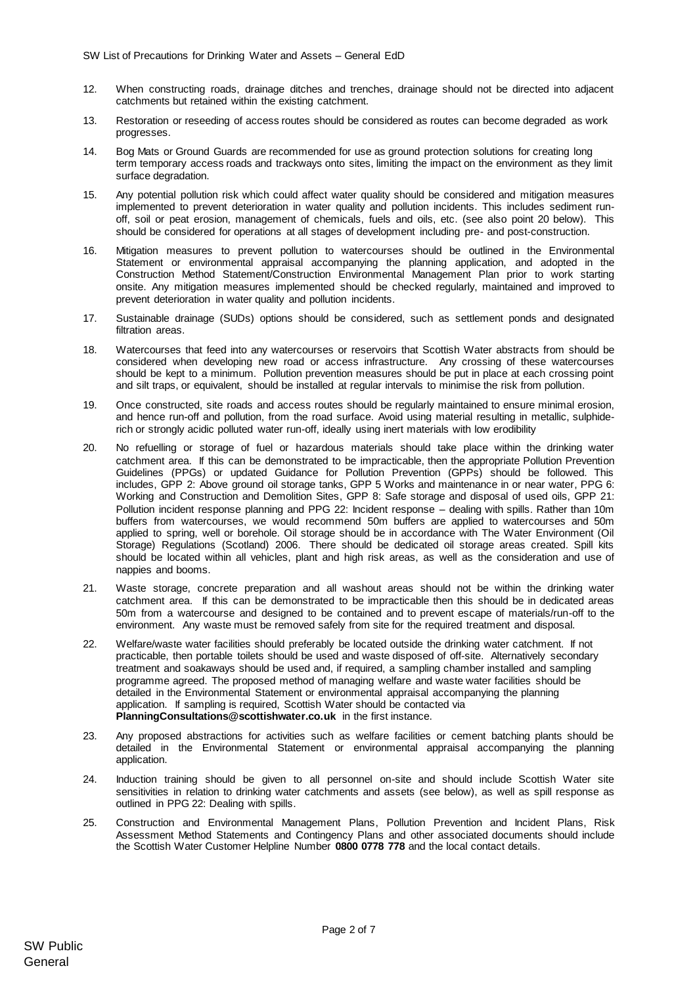- 12. When constructing roads, drainage ditches and trenches, drainage should not be directed into adjacent catchments but retained within the existing catchment.
- 13. Restoration or reseeding of access routes should be considered as routes can become degraded as work progresses.
- 14. Bog Mats or Ground Guards are recommended for use as ground protection solutions for creating long term temporary access roads and trackways onto sites, limiting the impact on the environment as they limit surface degradation.
- 15. Any potential pollution risk which could affect water quality should be considered and mitigation measures implemented to prevent deterioration in water quality and pollution incidents. This includes sediment runoff, soil or peat erosion, management of chemicals, fuels and oils, etc. (see also poin[t 20](#page-1-0) below). This should be considered for operations at all stages of development including pre- and post-construction.
- 16. Mitigation measures to prevent pollution to watercourses should be outlined in the Environmental Statement or environmental appraisal accompanying the planning application, and adopted in the Construction Method Statement/Construction Environmental Management Plan prior to work starting onsite. Any mitigation measures implemented should be checked regularly, maintained and improved to prevent deterioration in water quality and pollution incidents.
- 17. Sustainable drainage (SUDs) options should be considered, such as settlement ponds and designated filtration areas.
- 18. Watercourses that feed into any watercourses or reservoirs that Scottish Water abstracts from should be considered when developing new road or access infrastructure. Any crossing of these watercourses should be kept to a minimum. Pollution prevention measures should be put in place at each crossing point and silt traps, or equivalent, should be installed at regular intervals to minimise the risk from pollution.
- 19. Once constructed, site roads and access routes should be regularly maintained to ensure minimal erosion, and hence run-off and pollution, from the road surface. Avoid using material resulting in metallic, sulphiderich or strongly acidic polluted water run-off, ideally using inert materials with low erodibility
- <span id="page-1-0"></span>20. No refuelling or storage of fuel or hazardous materials should take place within the drinking water catchment area. If this can be demonstrated to be impracticable, then the appropriate Pollution Prevention Guidelines (PPGs) or updated Guidance for Pollution Prevention (GPPs) should be followed. This includes, GPP 2: Above ground oil storage tanks, GPP 5 Works and maintenance in or near water, PPG 6: Working and Construction and Demolition Sites, GPP 8: Safe storage and disposal of used oils, GPP 21: Pollution incident response planning and PPG 22: Incident response – dealing with spills. Rather than 10m buffers from watercourses, we would recommend 50m buffers are applied to watercourses and 50m applied to spring, well or borehole. Oil storage should be in accordance with The Water Environment (Oil Storage) Regulations (Scotland) 2006. There should be dedicated oil storage areas created. Spill kits should be located within all vehicles, plant and high risk areas, as well as the consideration and use of nappies and booms.
- 21. Waste storage, concrete preparation and all washout areas should not be within the drinking water catchment area. If this can be demonstrated to be impracticable then this should be in dedicated areas 50m from a watercourse and designed to be contained and to prevent escape of materials/run-off to the environment. Any waste must be removed safely from site for the required treatment and disposal.
- 22. Welfare/waste water facilities should preferably be located outside the drinking water catchment. If not practicable, then portable toilets should be used and waste disposed of off-site. Alternatively secondary treatment and soakaways should be used and, if required, a sampling chamber installed and sampling programme agreed. The proposed method of managing welfare and waste water facilities should be detailed in the Environmental Statement or environmental appraisal accompanying the planning application. If sampling is required, Scottish Water should be contacted via **PlanningConsultations@scottishwater.co.uk** in the first instance.
- 23. Any proposed abstractions for activities such as welfare facilities or cement batching plants should be detailed in the Environmental Statement or environmental appraisal accompanying the planning application.
- 24. Induction training should be given to all personnel on-site and should include Scottish Water site sensitivities in relation to drinking water catchments and assets (see below), as well as spill response as outlined in PPG 22: Dealing with spills.
- 25. Construction and Environmental Management Plans, Pollution Prevention and Incident Plans, Risk Assessment Method Statements and Contingency Plans and other associated documents should include the Scottish Water Customer Helpline Number **0800 0778 778** and the local contact details.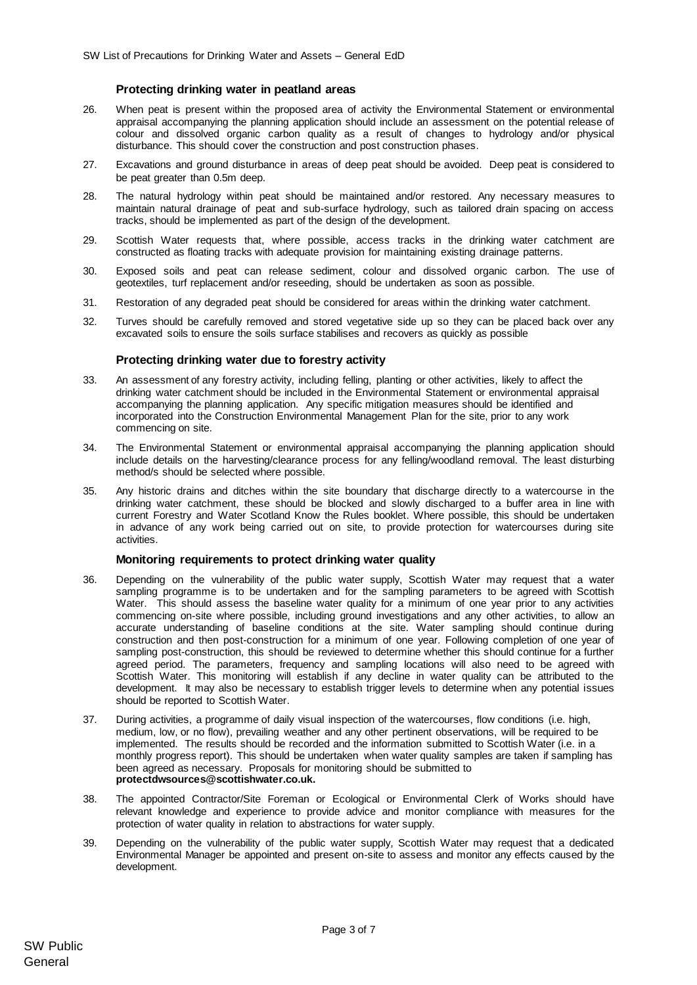#### **Protecting drinking water in peatland areas**

- 26. When peat is present within the proposed area of activity the Environmental Statement or environmental appraisal accompanying the planning application should include an assessment on the potential release of colour and dissolved organic carbon quality as a result of changes to hydrology and/or physical disturbance. This should cover the construction and post construction phases.
- 27. Excavations and ground disturbance in areas of deep peat should be avoided. Deep peat is considered to be peat greater than 0.5m deep.
- 28. The natural hydrology within peat should be maintained and/or restored. Any necessary measures to maintain natural drainage of peat and sub-surface hydrology, such as tailored drain spacing on access tracks, should be implemented as part of the design of the development.
- 29. Scottish Water requests that, where possible, access tracks in the drinking water catchment are constructed as floating tracks with adequate provision for maintaining existing drainage patterns.
- 30. Exposed soils and peat can release sediment, colour and dissolved organic carbon. The use of geotextiles, turf replacement and/or reseeding, should be undertaken as soon as possible.
- 31. Restoration of any degraded peat should be considered for areas within the drinking water catchment.
- 32. Turves should be carefully removed and stored vegetative side up so they can be placed back over any excavated soils to ensure the soils surface stabilises and recovers as quickly as possible

#### **Protecting drinking water due to forestry activity**

- 33. An assessment of any forestry activity, including felling, planting or other activities, likely to affect the drinking water catchment should be included in the Environmental Statement or environmental appraisal accompanying the planning application. Any specific mitigation measures should be identified and incorporated into the Construction Environmental Management Plan for the site, prior to any work commencing on site.
- 34. The Environmental Statement or environmental appraisal accompanying the planning application should include details on the harvesting/clearance process for any felling/woodland removal. The least disturbing method/s should be selected where possible.
- 35. Any historic drains and ditches within the site boundary that discharge directly to a watercourse in the drinking water catchment, these should be blocked and slowly discharged to a buffer area in line with current Forestry and Water Scotland Know the Rules booklet. Where possible, this should be undertaken in advance of any work being carried out on site, to provide protection for watercourses during site activities.

#### **Monitoring requirements to protect drinking water quality**

- 36. Depending on the vulnerability of the public water supply, Scottish Water may request that a water sampling programme is to be undertaken and for the sampling parameters to be agreed with Scottish Water. This should assess the baseline water quality for a minimum of one year prior to any activities commencing on-site where possible, including ground investigations and any other activities, to allow an accurate understanding of baseline conditions at the site. Water sampling should continue during construction and then post-construction for a minimum of one year. Following completion of one year of sampling post-construction, this should be reviewed to determine whether this should continue for a further agreed period. The parameters, frequency and sampling locations will also need to be agreed with Scottish Water. This monitoring will establish if any decline in water quality can be attributed to the development. It may also be necessary to establish trigger levels to determine when any potential issues should be reported to Scottish Water.
- 37. During activities, a programme of daily visual inspection of the watercourses, flow conditions (i.e. high, medium, low, or no flow), prevailing weather and any other pertinent observations, will be required to be implemented. The results should be recorded and the information submitted to Scottish Water (i.e. in a monthly progress report). This should be undertaken when water quality samples are taken if sampling has been agreed as necessary. Proposals for monitoring should be submitted to **protectdwsources@scottishwater.co.uk.**
- 38. The appointed Contractor/Site Foreman or Ecological or Environmental Clerk of Works should have relevant knowledge and experience to provide advice and monitor compliance with measures for the protection of water quality in relation to abstractions for water supply.
- 39. Depending on the vulnerability of the public water supply, Scottish Water may request that a dedicated Environmental Manager be appointed and present on-site to assess and monitor any effects caused by the development.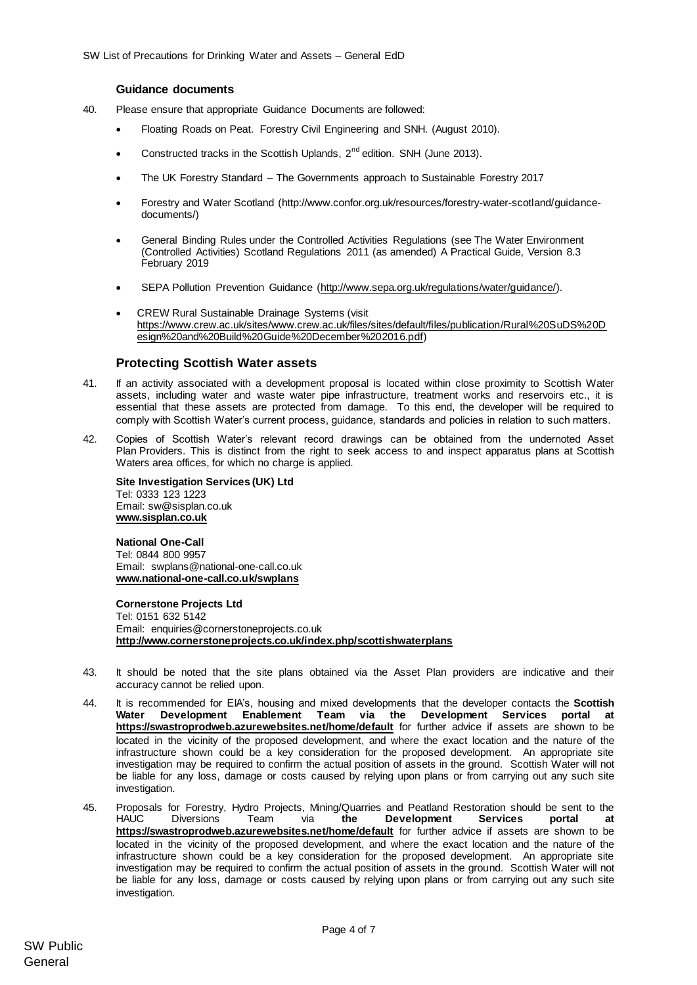#### **Guidance documents**

- 40. Please ensure that appropriate Guidance Documents are followed:
	- Floating Roads on Peat. Forestry Civil Engineering and SNH. (August 2010).
	- Constructed tracks in the Scottish Uplands,  $2^{nd}$  edition. SNH (June 2013).
	- The UK Forestry Standard The Governments approach to Sustainable Forestry 2017
	- Forestry and Water Scotland (http://www.confor.org.uk/resources/forestry-water-scotland/guidancedocuments/)
	- General Binding Rules under the Controlled Activities Regulations (see The Water Environment (Controlled Activities) Scotland Regulations 2011 (as amended) A Practical Guide, Version 8.3 February 2019
	- SEPA Pollution Prevention Guidance [\(http://www.sepa.org.uk/regulations/water/guidance/\).](http://www.sepa.org.uk/regulations/water/guidance/)
	- CREW Rural Sustainable Drainage Systems (visit [https://www.crew.ac.uk/sites/www.crew.ac.uk/files/sites/default/files/publication/Rural%20SuDS%20D](https://www.crew.ac.uk/sites/www.crew.ac.uk/files/sites/default/files/publication/Rural%20SuDS%20Design%20and%20Build%20Guide%20December%202016.pdf) [esign%20and%20Build%20Guide%20December%202016.pdf\)](https://www.crew.ac.uk/sites/www.crew.ac.uk/files/sites/default/files/publication/Rural%20SuDS%20Design%20and%20Build%20Guide%20December%202016.pdf)

#### **Protecting Scottish Water assets**

- 41. If an activity associated with a development proposal is located within close proximity to Scottish Water assets, including water and waste water pipe infrastructure, treatment works and reservoirs etc., it is essential that these assets are protected from damage. To this end, the developer will be required to comply with Scottish Water's current process, guidance, standards and policies in relation to such matters.
- 42. Copies of Scottish Water's relevant record drawings can be obtained from the undernoted Asset Plan Providers. This is distinct from the right to seek access to and inspect apparatus plans at Scottish Waters area offices, for which no charge is applied.

**Site Investigation Services (UK) Ltd** Tel: 0333 123 1223 Email: sw@sisplan.co.uk **[www.sisplan.co.uk](http://www.sisplan.co.uk/)**

#### **National One-Call**

Tel: 0844 800 9957 Email: swplans@national-one-call.co.uk **[www.national-one-call.co.uk/swplans](http://www.national-one-call.co.uk/swplans)**

**Cornerstone Projects Ltd**  Tel: 0151 632 5142 Email: [enquiries@cornerstoneprojects.co.uk](mailto:enquiries@cornerstoneprojects.co.uk) **http://www.cornerstoneprojects.co.uk/index.php/scottishwaterplans**

- 43. It should be noted that the site plans obtained via the Asset Plan providers are indicative and their accuracy cannot be relied upon.
- 44. It is recommended for EIA's, housing and mixed developments that the developer contacts the **Scottish Water [Development](mailto:Development) Enablement Team via the Development Services portal at <https://swastroprodweb.azurewebsites.net/home/default>** for further advice if assets are shown to be located in the vicinity of the proposed development, and where the exact location and the nature of the infrastructure shown could be a key consideration for the proposed development. An appropriate site investigation may be required to confirm the actual position of assets in the ground. Scottish Water will not be liable for any loss, damage or costs caused by relying upon plans or from carrying out any such site investigation.
- 45. Proposals for Forestry, Hydro Projects, Mining/Quarries and Peatland Restoration should be sent to the<br>HAUC Diversions Team via the Development Services portal at Team via [the](mailto:Hauc.diversions@scottishwater.co.uk) Development Services portal at **<https://swastroprodweb.azurewebsites.net/home/default>** for further advice if assets are shown to be located in the vicinity of the proposed development, and where the exact location and the nature of the infrastructure shown could be a key consideration for the proposed development. An appropriate site investigation may be required to confirm the actual position of assets in the ground. Scottish Water will not be liable for any loss, damage or costs caused by relying upon plans or from carrying out any such site investigation.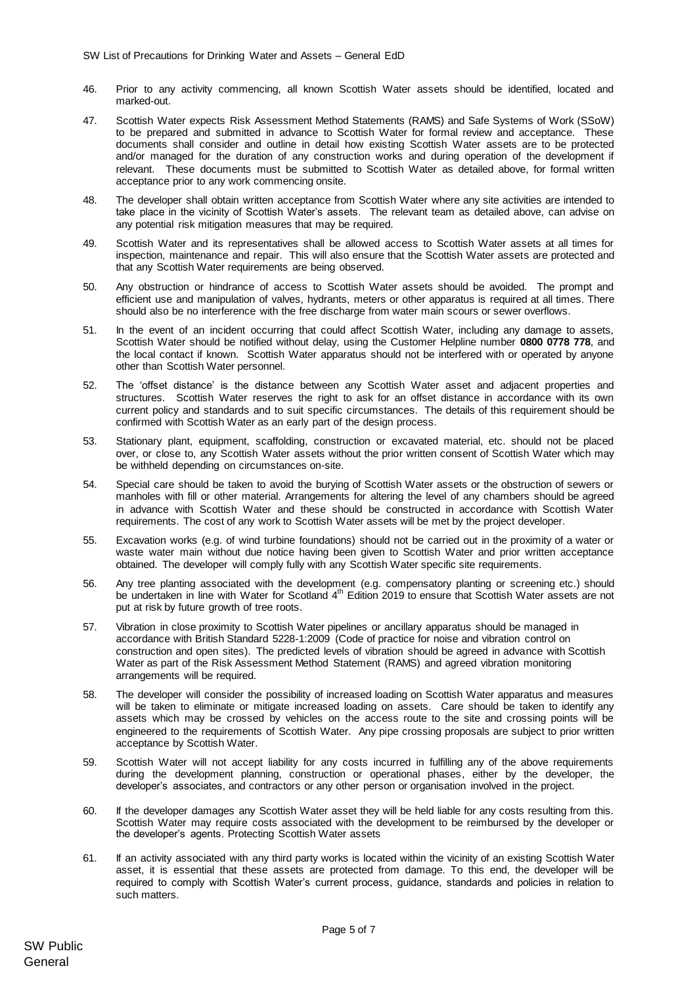- 46. Prior to any activity commencing, all known Scottish Water assets should be identified, located and marked-out.
- 47. Scottish Water expects Risk Assessment Method Statements (RAMS) and Safe Systems of Work (SSoW) to be prepared and submitted in advance to Scottish Water for formal review and acceptance. These documents shall consider and outline in detail how existing Scottish Water assets are to be protected and/or managed for the duration of any construction works and during operation of the development if relevant. These documents must be submitted to Scottish Water as detailed above, for formal written acceptance prior to any work commencing onsite.
- 48. The developer shall obtain written acceptance from Scottish Water where any site activities are intended to take place in the vicinity of Scottish Water's assets. The relevant team as detailed above, can advise on any potential risk mitigation measures that may be required.
- 49. Scottish Water and its representatives shall be allowed access to Scottish Water assets at all times for inspection, maintenance and repair. This will also ensure that the Scottish Water assets are protected and that any Scottish Water requirements are being observed.
- 50. Any obstruction or hindrance of access to Scottish Water assets should be avoided. The prompt and efficient use and manipulation of valves, hydrants, meters or other apparatus is required at all times. There should also be no interference with the free discharge from water main scours or sewer overflows.
- 51. In the event of an incident occurring that could affect Scottish Water, including any damage to assets, Scottish Water should be notified without delay, using the Customer Helpline number **0800 0778 778**, and the local contact if known. Scottish Water apparatus should not be interfered with or operated by anyone other than Scottish Water personnel.
- 52. The 'offset distance' is the distance between any Scottish Water asset and adjacent properties and structures. Scottish Water reserves the right to ask for an offset distance in accordance with its own current policy and standards and to suit specific circumstances. The details of this requirement should be confirmed with Scottish Water as an early part of the design process.
- 53. Stationary plant, equipment, scaffolding, construction or excavated material, etc. should not be placed over, or close to, any Scottish Water assets without the prior written consent of Scottish Water which may be withheld depending on circumstances on-site.
- 54. Special care should be taken to avoid the burying of Scottish Water assets or the obstruction of sewers or manholes with fill or other material. Arrangements for altering the level of any chambers should be agreed in advance with Scottish Water and these should be constructed in accordance with Scottish Water requirements. The cost of any work to Scottish Water assets will be met by the project developer.
- 55. Excavation works (e.g. of wind turbine foundations) should not be carried out in the proximity of a water or waste water main without due notice having been given to Scottish Water and prior written acceptance obtained. The developer will comply fully with any Scottish Water specific site requirements.
- 56. Any tree planting associated with the development (e.g. compensatory planting or screening etc.) should be undertaken in line with Water for Scotland 4<sup>th</sup> Edition 2019 to ensure that Scottish Water assets are not put at risk by future growth of tree roots.
- 57. Vibration in close proximity to Scottish Water pipelines or ancillary apparatus should be managed in accordance with British Standard 5228-1:2009 (Code of practice for noise and vibration control on construction and open sites). The predicted levels of vibration should be agreed in advance with Scottish Water as part of the Risk Assessment Method Statement (RAMS) and agreed vibration monitoring arrangements will be required.
- 58. The developer will consider the possibility of increased loading on Scottish Water apparatus and measures will be taken to eliminate or mitigate increased loading on assets. Care should be taken to identify any assets which may be crossed by vehicles on the access route to the site and crossing points will be engineered to the requirements of Scottish Water. Any pipe crossing proposals are subject to prior written acceptance by Scottish Water.
- 59. Scottish Water will not accept liability for any costs incurred in fulfilling any of the above requirements during the development planning, construction or operational phases, either by the developer, the developer's associates, and contractors or any other person or organisation involved in the project.
- 60. If the developer damages any Scottish Water asset they will be held liable for any costs resulting from this. Scottish Water may require costs associated with the development to be reimbursed by the developer or the developer's agents. Protecting Scottish Water assets
- 61. If an activity associated with any third party works is located within the vicinity of an existing Scottish Water asset, it is essential that these assets are protected from damage. To this end, the developer will be required to comply with Scottish Water's current process, guidance, standards and policies in relation to such matters.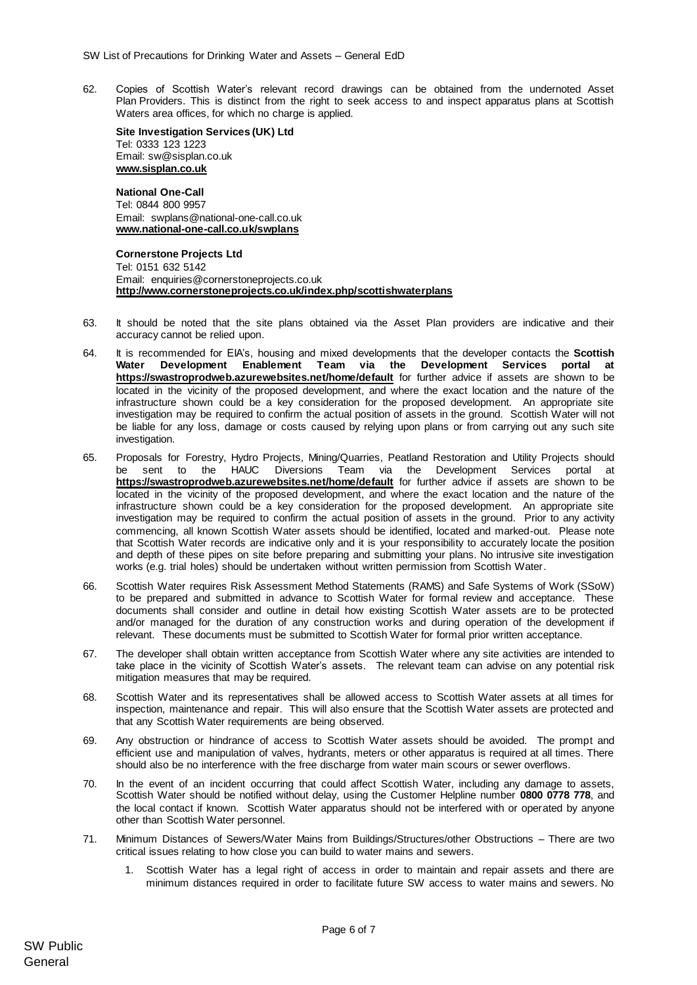62. Copies of Scottish Water's relevant record drawings can be obtained from the undernoted Asset Plan Providers. This is distinct from the right to seek access to and inspect apparatus plans at Scottish Waters area offices, for which no charge is applied.

**Site Investigation Services (UK) Ltd** Tel: 0333 123 1223 Email: sw@sisplan.co.uk **[www.sisplan.co.uk](http://www.sisplan.co.uk/)**

**National One-Call** Tel: 0844 800 9957 Email: swplans@national-one-call.co.uk **[www.national-one-call.co.uk/swplans](http://www.national-one-call.co.uk/swplans)**

**Cornerstone Projects Ltd**  Tel: 0151 632 5142 Email: [enquiries@cornerstoneprojects.co.uk](mailto:enquiries@cornerstoneprojects.co.uk) **http://www.cornerstoneprojects.co.uk/index.php/scottishwaterplans**

- 63. It should be noted that the site plans obtained via the Asset Plan providers are indicative and their accuracy cannot be relied upon.
- 64. It is recommended for EIA's, housing and mixed developments that the developer contacts the **Scottish Water [Development](mailto:Development) Enablement Team via the Development Services portal at <https://swastroprodweb.azurewebsites.net/home/default>** for further advice if assets are shown to be located in the vicinity of the proposed development, and where the exact location and the nature of the infrastructure shown could be a key consideration for the proposed development. An appropriate site investigation may be required to confirm the actual position of assets in the ground. Scottish Water will not be liable for any loss, damage or costs caused by relying upon plans or from carrying out any such site investigation.
- 65. Proposals for Forestry, Hydro Projects, Mining/Quarries, Peatland Restoration and Utility Projects should be sent to the HAUC Diversions Team via the Development Services portal at **<https://swastroprodweb.azurewebsites.net/home/default>** for further advice if assets are shown to be located in the vicinity of the proposed development, and where the exact location and the nature of the infrastructure shown could be a key consideration for the proposed development. An appropriate site investigation may be required to confirm the actual position of assets in the ground. Prior to any activity commencing, all known Scottish Water assets should be identified, located and marked-out. Please note that Scottish Water records are indicative only and it is your responsibility to accurately locate the position and depth of these pipes on site before preparing and submitting your plans. No intrusive site investigation works (e.g. trial holes) should be undertaken without written permission from Scottish Water.
- 66. Scottish Water requires Risk Assessment Method Statements (RAMS) and Safe Systems of Work (SSoW) to be prepared and submitted in advance to Scottish Water for formal review and acceptance. These documents shall consider and outline in detail how existing Scottish Water assets are to be protected and/or managed for the duration of any construction works and during operation of the development if relevant. These documents must be submitted to Scottish Water for formal prior written acceptance.
- 67. The developer shall obtain written acceptance from Scottish Water where any site activities are intended to take place in the vicinity of Scottish Water's assets. The relevant team can advise on any potential risk mitigation measures that may be required.
- 68. Scottish Water and its representatives shall be allowed access to Scottish Water assets at all times for inspection, maintenance and repair. This will also ensure that the Scottish Water assets are protected and that any Scottish Water requirements are being observed.
- 69. Any obstruction or hindrance of access to Scottish Water assets should be avoided. The prompt and efficient use and manipulation of valves, hydrants, meters or other apparatus is required at all times. There should also be no interference with the free discharge from water main scours or sewer overflows.
- 70. In the event of an incident occurring that could affect Scottish Water, including any damage to assets, Scottish Water should be notified without delay, using the Customer Helpline number **0800 0778 778**, and the local contact if known. Scottish Water apparatus should not be interfered with or operated by anyone other than Scottish Water personnel.
- 71. Minimum Distances of Sewers/Water Mains from Buildings/Structures/other Obstructions There are two critical issues relating to how close you can build to water mains and sewers.
	- Scottish Water has a legal right of access in order to maintain and repair assets and there are minimum distances required in order to facilitate future SW access to water mains and sewers. No